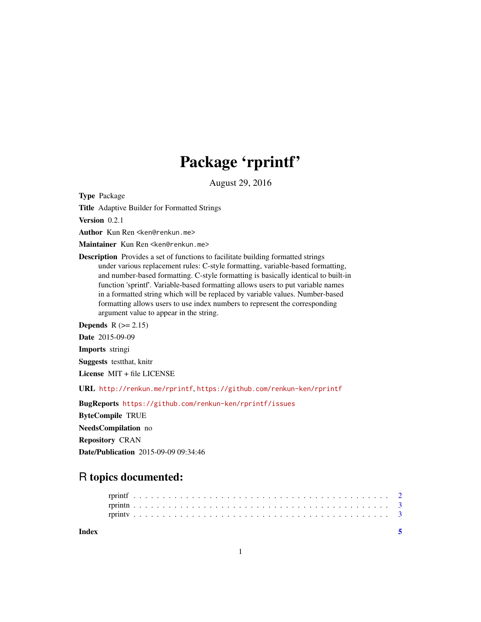## Package 'rprintf'

August 29, 2016

Type Package

Title Adaptive Builder for Formatted Strings

Version 0.2.1

Author Kun Ren <ken@renkun.me>

Maintainer Kun Ren <ken@renkun.me>

Description Provides a set of functions to facilitate building formatted strings under various replacement rules: C-style formatting, variable-based formatting, and number-based formatting. C-style formatting is basically identical to built-in function 'sprintf'. Variable-based formatting allows users to put variable names in a formatted string which will be replaced by variable values. Number-based formatting allows users to use index numbers to represent the corresponding argument value to appear in the string.

Depends  $R (=2.15)$ 

Date 2015-09-09

Imports stringi

Suggests testthat, knitr

License MIT + file LICENSE

URL <http://renkun.me/rprintf>, <https://github.com/renkun-ken/rprintf>

BugReports <https://github.com/renkun-ken/rprintf/issues> ByteCompile TRUE NeedsCompilation no Repository CRAN Date/Publication 2015-09-09 09:34:46

### R topics documented:

| Index |  |  |  |  |  |  |  |  |  |  |  |  |  |  |  |  |  |  |  |  |  |  |  |  |
|-------|--|--|--|--|--|--|--|--|--|--|--|--|--|--|--|--|--|--|--|--|--|--|--|--|
|       |  |  |  |  |  |  |  |  |  |  |  |  |  |  |  |  |  |  |  |  |  |  |  |  |
|       |  |  |  |  |  |  |  |  |  |  |  |  |  |  |  |  |  |  |  |  |  |  |  |  |

1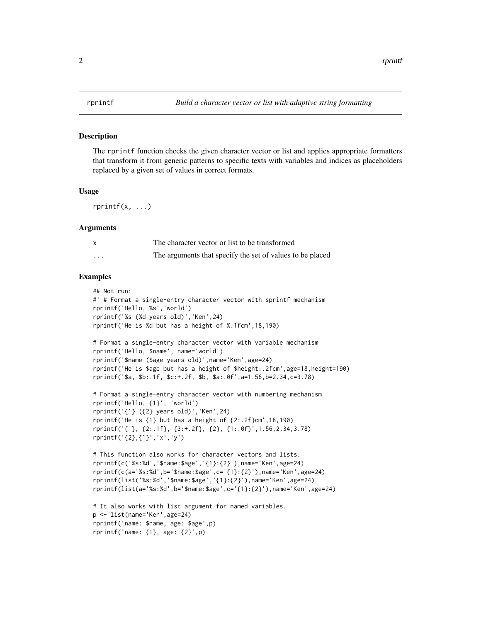<span id="page-1-0"></span>

#### Description

The rprintf function checks the given character vector or list and applies appropriate formatters that transform it from generic patterns to specific texts with variables and indices as placeholders replaced by a given set of values in correct formats.

#### Usage

 $rprintf(x, \ldots)$ 

#### Arguments

|          | The character vector or list to be transformed            |
|----------|-----------------------------------------------------------|
| $\cdots$ | The arguments that specify the set of values to be placed |

#### Examples

```
## Not run:
#' # Format a single-entry character vector with sprintf mechanism
rprintf('Hello, %s','world')
rprintf('%s (%d years old)','Ken',24)
rprintf('He is %d but has a height of %.1fcm',18,190)
# Format a single-entry character vector with variable mechanism
rprintf('Hello, $name', name='world')
rprintf('$name ($age years old)',name='Ken',age=24)
rprintf('He is $age but has a height of $height:.2fcm',age=18,height=190)
rprintf('$a, $b:.1f, $c:+.2f, $b, $a:.0f',a=1.56,b=2.34,c=3.78)
# Format a single-entry character vector with numbering mechanism
rprintf('Hello, {1}', 'world')
rprintf('{1} ({2} years old)','Ken',24)
rprintf('He is {1} but has a height of {2:.2f}cm',18,190)
rprintf('{1}, {2:.1f}, {3:+.2f}, {2}, {1:.0f}',1.56,2.34,3.78)
```

```
rprintf('{2},{1}','x','y')
# This function also works for character vectors and lists.
rprintf(c('%s:%d','$name:$age','{1}:{2}'),name='Ken',age=24)
```

```
rprintf(c(a='%s:%d',b='$name:$age',c='{1}:{2}'),name='Ken',age=24)
rprintf(list('%s:%d','$name:$age','{1}:{2}'),name='Ken',age=24)
rprintf(list(a='%s:%d',b='$name:$age',c='{1}:{2}'),name='Ken',age=24)
```

```
# It also works with list argument for named variables.
p <- list(name='Ken',age=24)
rprintf('name: $name, age: $age',p)
rprintf('name: {1}, age: {2}',p)
```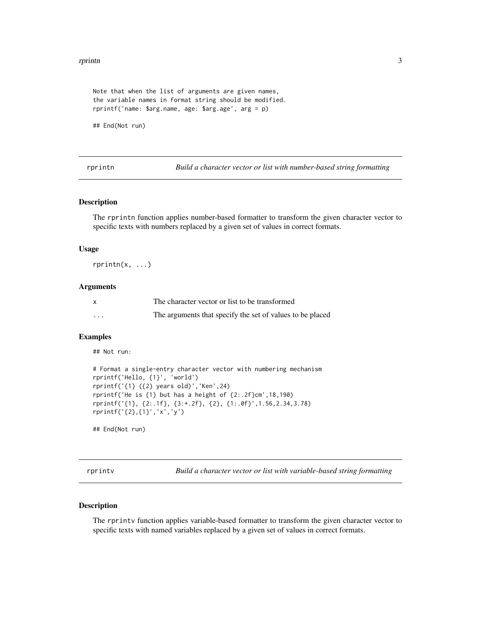#### <span id="page-2-0"></span>rprintn 3

```
Note that when the list of arguments are given names,
the variable names in format string should be modified.
rprintf('name: $arg.name, age: $arg.age', arg = p)
```
## End(Not run)

rprintn *Build a character vector or list with number-based string formatting*

#### Description

The rprintn function applies number-based formatter to transform the given character vector to specific texts with numbers replaced by a given set of values in correct formats.

#### Usage

 $rprint(x, \ldots)$ 

#### Arguments

|   | The character vector or list to be transformed            |
|---|-----------------------------------------------------------|
| . | The arguments that specify the set of values to be placed |

#### Examples

## Not run:

```
# Format a single-entry character vector with numbering mechanism
rprintf('Hello, {1}', 'world')
rprintf('{1} ({2} years old)','Ken',24)
rprintf('He is {1} but has a height of {2:.2f}cm',18,190)
rprintf('{1}, {2:.1f}, {3:+.2f}, {2}, {1:.0f}',1.56,2.34,3.78)
rprintf('{2},{1}','x','y')
```
## End(Not run)

rprintv *Build a character vector or list with variable-based string formatting*

#### Description

The rprintv function applies variable-based formatter to transform the given character vector to specific texts with named variables replaced by a given set of values in correct formats.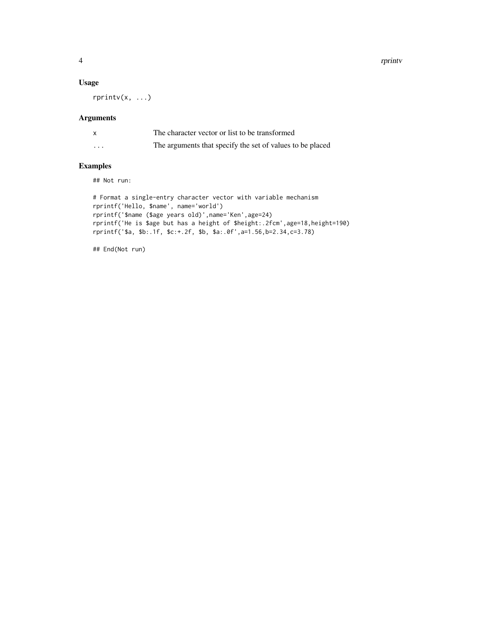4 rprintv

#### Usage

rprintv(x, ...)

#### Arguments

|         | The character vector or list to be transformed            |
|---------|-----------------------------------------------------------|
| $\cdot$ | The arguments that specify the set of values to be placed |

#### Examples

## Not run:

```
# Format a single-entry character vector with variable mechanism
rprintf('Hello, $name', name='world')
rprintf('$name ($age years old)',name='Ken',age=24)
rprintf('He is $age but has a height of $height:.2fcm',age=18,height=190)
rprintf('$a, $b:.1f, $c:+.2f, $b, $a:.0f',a=1.56,b=2.34,c=3.78)
```
## End(Not run)